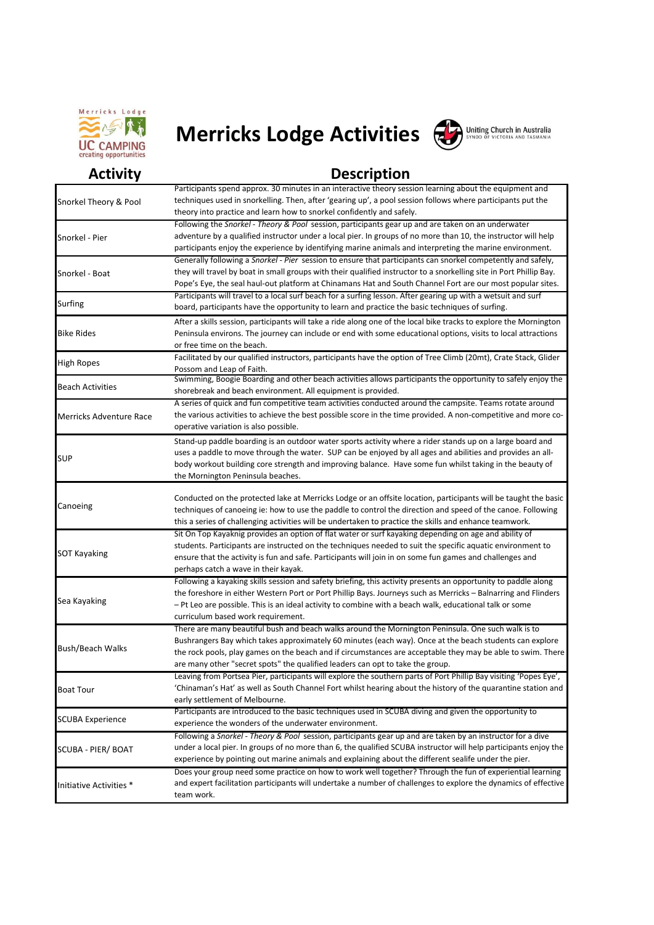

## **Merricks Lodge Activities**



## Uniting Church in Australia

## **Activity Description**

|                                | Participants spend approx. 30 minutes in an interactive theory session learning about the equipment and             |
|--------------------------------|---------------------------------------------------------------------------------------------------------------------|
| Snorkel Theory & Pool          | techniques used in snorkelling. Then, after 'gearing up', a pool session follows where participants put the         |
|                                | theory into practice and learn how to snorkel confidently and safely.                                               |
|                                |                                                                                                                     |
| Snorkel - Pier                 | Following the Snorkel - Theory & Pool session, participants gear up and are taken on an underwater                  |
|                                | adventure by a qualified instructor under a local pier. In groups of no more than 10, the instructor will help      |
|                                | participants enjoy the experience by identifying marine animals and interpreting the marine environment.            |
| Snorkel - Boat                 | Generally following a Snorkel - Pier session to ensure that participants can snorkel competently and safely,        |
|                                | they will travel by boat in small groups with their qualified instructor to a snorkelling site in Port Phillip Bay. |
|                                | Pope's Eye, the seal haul-out platform at Chinamans Hat and South Channel Fort are our most popular sites.          |
| Surfing                        | Participants will travel to a local surf beach for a surfing lesson. After gearing up with a wetsuit and surf       |
|                                | board, participants have the opportunity to learn and practice the basic techniques of surfing.                     |
| <b>Bike Rides</b>              | After a skills session, participants will take a ride along one of the local bike tracks to explore the Mornington  |
|                                | Peninsula environs. The journey can include or end with some educational options, visits to local attractions       |
|                                | or free time on the beach.                                                                                          |
|                                | Facilitated by our qualified instructors, participants have the option of Tree Climb (20mt), Crate Stack, Glider    |
| High Ropes                     | Possom and Leap of Faith.                                                                                           |
|                                | Swimming, Boogie Boarding and other beach activities allows participants the opportunity to safely enjoy the        |
| <b>Beach Activities</b>        | shorebreak and beach environment. All equipment is provided.                                                        |
|                                | A series of quick and fun competitive team activities conducted around the campsite. Teams rotate around            |
| <b>Merricks Adventure Race</b> |                                                                                                                     |
|                                | the various activities to achieve the best possible score in the time provided. A non-competitive and more co-      |
|                                | operative variation is also possible.                                                                               |
| SUP                            | Stand-up paddle boarding is an outdoor water sports activity where a rider stands up on a large board and           |
|                                | uses a paddle to move through the water. SUP can be enjoyed by all ages and abilities and provides an all-          |
|                                | body workout building core strength and improving balance. Have some fun whilst taking in the beauty of             |
|                                | the Mornington Peninsula beaches.                                                                                   |
| Canoeing                       |                                                                                                                     |
|                                | Conducted on the protected lake at Merricks Lodge or an offsite location, participants will be taught the basic     |
|                                | techniques of canoeing ie: how to use the paddle to control the direction and speed of the canoe. Following         |
|                                | this a series of challenging activities will be undertaken to practice the skills and enhance teamwork.             |
|                                | Sit On Top Kayaknig provides an option of flat water or surf kayaking depending on age and ability of               |
|                                | students. Participants are instructed on the techniques needed to suit the specific aquatic environment to          |
| <b>SOT Kayaking</b>            | ensure that the activity is fun and safe. Participants will join in on some fun games and challenges and            |
|                                | perhaps catch a wave in their kayak.                                                                                |
|                                | Following a kayaking skills session and safety briefing, this activity presents an opportunity to paddle along      |
| Sea Kayaking                   | the foreshore in either Western Port or Port Phillip Bays. Journeys such as Merricks - Balnarring and Flinders      |
|                                | - Pt Leo are possible. This is an ideal activity to combine with a beach walk, educational talk or some             |
|                                | curriculum based work requirement.                                                                                  |
|                                |                                                                                                                     |
| <b>Bush/Beach Walks</b>        | There are many beautiful bush and beach walks around the Mornington Peninsula. One such walk is to                  |
|                                | Bushrangers Bay which takes approximately 60 minutes (each way). Once at the beach students can explore             |
|                                | the rock pools, play games on the beach and if circumstances are acceptable they may be able to swim. There         |
|                                | are many other "secret spots" the qualified leaders can opt to take the group.                                      |
| <b>Boat Tour</b>               | Leaving from Portsea Pier, participants will explore the southern parts of Port Phillip Bay visiting 'Popes Eye',   |
|                                | 'Chinaman's Hat' as well as South Channel Fort whilst hearing about the history of the quarantine station and       |
|                                | early settlement of Melbourne.                                                                                      |
| <b>SCUBA Experience</b>        | Participants are introduced to the basic techniques used in SCUBA diving and given the opportunity to               |
|                                | experience the wonders of the underwater environment.                                                               |
| SCUBA - PIER/ BOAT             | Following a Snorkel - Theory & Pool session, participants gear up and are taken by an instructor for a dive         |
|                                | under a local pier. In groups of no more than 6, the qualified SCUBA instructor will help participants enjoy the    |
|                                | experience by pointing out marine animals and explaining about the different sealife under the pier.                |
|                                | Does your group need some practice on how to work well together? Through the fun of experiential learning           |
| Initiative Activities *        | and expert facilitation participants will undertake a number of challenges to explore the dynamics of effective     |
|                                |                                                                                                                     |
|                                | team work.                                                                                                          |